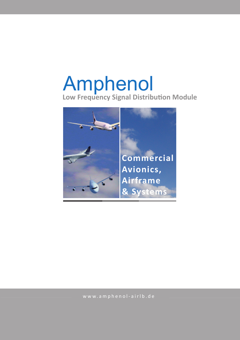# Amphenol **Low Frequency Signal Distribution Module**



www.amphenol-airlb.de